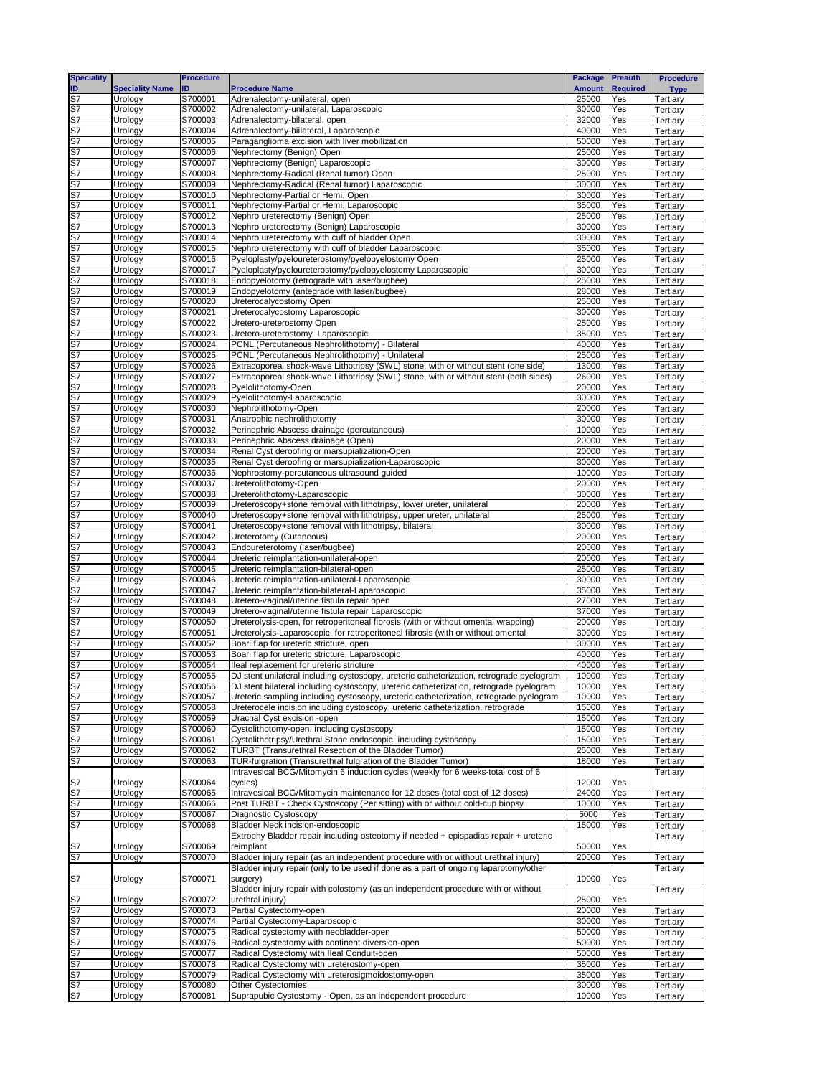| <b>Speciality</b>     |                        | <b>Procedure</b> |                                                                                          | <b>Package</b> | <b>Preauth</b>  | <b>Procedure</b> |
|-----------------------|------------------------|------------------|------------------------------------------------------------------------------------------|----------------|-----------------|------------------|
| ID                    | <b>Speciality Name</b> | חו               | <b>Procedure Name</b>                                                                    | <b>Amount</b>  | <b>Required</b> | <b>Type</b>      |
| S7                    | Urology                | S700001          | Adrenalectomy-unilateral, open                                                           | 25000          | Yes             | Tertiary         |
| S7                    | Urology                | S700002          | Adrenalectomy-unilateral, Laparoscopic                                                   | 30000          | Yes             | Tertiary         |
| S7                    | Urology                | S700003          | Adrenalectomy-bilateral, open                                                            | 32000          | Yes             | Tertiary         |
|                       | Urology                | S700004          | Adrenalectomy-biilateral, Laparoscopic                                                   | 40000          | Yes             | Tertiary         |
| S7<br>S7              | Urology                | S700005          | Paraganglioma excision with liver mobilization                                           | 50000          | Yes             | Tertiary         |
| S7                    | Urology                | S700006          | Nephrectomy (Benign) Open                                                                | 25000          | Yes             | Tertiary         |
| S7<br>S7              | Urology                | S700007          | Nephrectomy (Benign) Laparoscopic                                                        | 30000          | Yes             | Tertiary         |
|                       | Urology                | S700008          | Nephrectomy-Radical (Renal tumor) Open                                                   | 25000          | Yes             | Tertiary         |
| S7<br>S7              | Urology                | S700009          | Nephrectomy-Radical (Renal tumor) Laparoscopic                                           | 30000          | Yes             | Tertiary         |
|                       | Urology                | S700010          | Nephrectomy-Partial or Hemi, Open                                                        | 30000          | Yes             | Tertiary         |
| S7                    | Urology                | S700011          | Nephrectomy-Partial or Hemi, Laparoscopic                                                | 35000          | Yes             | Tertiary         |
| S7<br>S7              | Urology                | S700012          | Nephro ureterectomy (Benign) Open                                                        | 25000          | Yes             | Tertiary         |
|                       | Urology                | S700013          | Nephro ureterectomy (Benign) Laparoscopic                                                | 30000          | Yes             | Tertiary         |
| S7                    | Urology                | S700014          | Nephro ureterectomy with cuff of bladder Open                                            | 30000          | Yes             | Tertiary         |
| S7                    | Urology                | S700015          | Nephro ureterectomy with cuff of bladder Laparoscopic                                    | 35000          | Yes             | Tertiary         |
| S7                    | Urology                | S700016          | Pyeloplasty/pyeloureterostomy/pyelopyelostomy Open                                       | 25000          | Yes             | Tertiary         |
| S7                    | Urology                | S700017          | Pyeloplasty/pyeloureterostomy/pyelopyelostomy Laparoscopic                               | 30000          | Yes             | Tertiary         |
| S7                    | Urology                | S700018          | Endopyelotomy (retrograde with laser/bugbee)                                             | 25000          | Yes             | Tertiary         |
| S7                    | Urology                | S700019          | Endopyelotomy (antegrade with laser/bugbee)                                              | 28000          | Yes             | Tertiary         |
| S7                    | Urology                | S700020          | Ureterocalycostomy Open                                                                  | 25000          | Yes             | Tertiary         |
| S7                    | Urology                | S700021          | Ureterocalycostomy Laparoscopic                                                          | 30000          | Yes             | Tertiary         |
| S7                    | Urology                | S700022          | Uretero-ureterostomy Open                                                                | 25000          | Yes             | Tertiary         |
| S7                    | Urology                | S700023          | Uretero-ureterostomy Laparoscopic                                                        | 35000          | Yes             | Tertiary         |
| S7                    | Urology                | S700024          | PCNL (Percutaneous Nephrolithotomy) - Bilateral                                          | 40000          | Yes             | Tertiary         |
|                       | Urology                | S700025          | PCNL (Percutaneous Nephrolithotomy) - Unilateral                                         | 25000          | Yes             | Tertiary         |
| S7<br>S7              | Urology                | S700026          | Extracoporeal shock-wave Lithotripsy (SWL) stone, with or without stent (one side)       | 13000          | Yes             | Tertiary         |
| S7                    | Urology                | S700027          | Extracoporeal shock-wave Lithotripsy (SWL) stone, with or without stent (both sides)     | 26000          | Yes             | Tertiary         |
|                       | Urology                | S700028          | Pyelolithotomy-Open                                                                      | 20000          | Yes             | Tertiary         |
| $rac{S}{S}$           | Urology                | S700029          | Pyelolithotomy-Laparoscopic                                                              | 30000          | Yes             | Tertiary         |
| S7<br>S7              | Urology                | S700030          | Nephrolithotomy-Open                                                                     | 20000          | Yes             | Tertiary         |
|                       | Urology                | S700031          | Anatrophic nephrolithotomy                                                               | 30000          | Yes             | Tertiary         |
| S7                    | Urology                | S700032          | Perinephric Abscess drainage (percutaneous)                                              | 10000          | Yes             | Tertiary         |
| S7                    | Urology                | S700033          | Perinephric Abscess drainage (Open)                                                      | 20000          | Yes             | Tertiary         |
| S7                    | Urology                | S700034          | Renal Cyst deroofing or marsupialization-Open                                            | 20000          | Yes             | Tertiary         |
| S7                    | Urology                | S700035          | Renal Cyst deroofing or marsupialization-Laparoscopic                                    | 30000          | Yes             | Tertiary         |
| S7                    | Urology                | S700036          | Nephrostomy-percutaneous ultrasound guided                                               | 10000          | Yes             | Tertiary         |
| S7                    | Urology                | S700037          | Ureterolithotomy-Open                                                                    | 20000          | Yes             | Tertiary         |
| S7                    | Urology                | S700038          | Ureterolithotomy-Laparoscopic                                                            | 30000          | Yes             | Tertiary         |
| S7                    | Urology                | S700039          | Ureteroscopy+stone removal with lithotripsy, lower ureter, unilateral                    | 20000          | Yes             | Tertiary         |
| S7                    | Urology                | S700040          | Ureteroscopy+stone removal with lithotripsy, upper ureter, unilateral                    | 25000          | Yes             | Tertiary         |
|                       | Urology                | S700041          | Ureteroscopy+stone removal with lithotripsy, bilateral                                   | 30000          | Yes             | Tertiary         |
| S7<br>S7              | Urology                | S700042          | Ureterotomy (Cutaneous)                                                                  | 20000          | Yes             | Tertiary         |
| S7                    | Urology                | S700043          | Endoureterotomy (laser/bugbee)                                                           | 20000          | Yes             | Tertiary         |
|                       | Urology                | S700044          | Ureteric reimplantation-unilateral-open                                                  | 20000          | Yes             | Tertiary         |
| S7<br>S7              | Urology                | S700045          | Ureteric reimplantation-bilateral-open                                                   | 25000          | Yes             | Tertiary         |
| S7                    | Urology                | S700046          | Ureteric reimplantation-unilateral-Laparoscopic                                          | 30000          | Yes             | Tertiary         |
| S7                    | Urology                | S700047          | Ureteric reimplantation-bilateral-Laparoscopic                                           | 35000          | Yes             | Tertiary         |
| S7                    | Urology                | S700048          | Uretero-vaginal/uterine fistula repair open                                              | 27000          | Yes             | Tertiary         |
| S7                    | Urology                | S700049          | Uretero-vaginal/uterine fistula repair Laparoscopic                                      | 37000          | Yes             | Tertiary         |
| S7                    | Urology                | S700050          | Ureterolysis-open, for retroperitoneal fibrosis (with or without omental wrapping)       | 20000          | Yes             | Tertiary         |
| S7                    | Urology                | S700051          | Ureterolysis-Laparoscopic, for retroperitoneal fibrosis (with or without omental         | 30000          | Yes             | Tertiary         |
| S7                    | Urology                | S700052          | Boari flap for ureteric stricture, open                                                  | 30000          | Yes             | Tertiary         |
| S7                    | Urology                | S700053          | Boari flap for ureteric stricture, Laparoscopic                                          | 40000          | Yes             | Tertiary         |
| S7                    | Urology                | S700054          | Ileal replacement for ureteric stricture                                                 | 40000          | Yes             | Tertiary         |
| S7                    | Urology                | S700055          | DJ stent unilateral including cystoscopy, ureteric catheterization, retrograde pyelogram | 10000          | Yes             | Tertiary         |
|                       | Urology                | S700056          | DJ stent bilateral including cystoscopy, ureteric catheterization, retrograde pyelogram  | 10000          | Yes             | Tertiary         |
|                       | Urology                | S700057          | Ureteric sampling including cystoscopy, ureteric catheterization, retrograde pyelogram   | 10000          | Yes             | Tertiary         |
| <u>នន្ទន្ទន្ទន្ទន</u> | Urology                | S700058          | Ureterocele incision including cystoscopy, ureteric catheterization, retrograde          | 15000          | Yes             | Tertiary         |
|                       | Urology                | S700059          | Urachal Cyst excision -open                                                              | 15000          | Yes             | Tertiary         |
|                       | Urology                | S700060          | Cystolithotomy-open, including cystoscopy                                                | 15000          | Yes             | Tertiary         |
|                       | Urology                | S700061          | Cystolithotripsy/Urethral Stone endoscopic, including cystoscopy                         | 15000          | Yes             | Tertiary         |
|                       | Urology                | S700062          | TURBT (Transurethral Resection of the Bladder Tumor)                                     | 25000          | Yes             | Tertiary         |
|                       | Urology                | S700063          | TUR-fulgration (Transurethral fulgration of the Bladder Tumor)                           | 18000          | Yes             | Tertiary         |
|                       |                        |                  | Intravesical BCG/Mitomycin 6 induction cycles (weekly for 6 weeks-total cost of 6        |                |                 | Tertiary         |
|                       | Urology                | S700064          | cycles)                                                                                  | 12000          | Yes             |                  |
| S7<br>S7              | Urology                | S700065          | Intravesical BCG/Mitomycin maintenance for 12 doses (total cost of 12 doses)             | 24000          | Yes             | Tertiary         |
| S7                    | Urology                | S700066          | Post TURBT - Check Cystoscopy (Per sitting) with or without cold-cup biopsy              | 10000          | Yes             | Tertiary         |
| S7                    | Urology                | S700067          | Diagnostic Cystoscopy                                                                    | 5000           | Yes             | Tertiary         |
| S7                    | Urology                | S700068          | Bladder Neck incision-endoscopic                                                         | 15000          | Yes             | Tertiary         |
|                       |                        |                  | Extrophy Bladder repair including osteotomy if needed + epispadias repair + ureteric     |                |                 | Tertiary         |
| S7                    | Urology                | S700069          | reimplant                                                                                | 50000          | Yes             |                  |
| S7                    | Urology                | S700070          | Bladder injury repair (as an independent procedure with or without urethral injury)      | 20000          | Yes             | Tertiary         |
|                       |                        |                  | Bladder injury repair (only to be used if done as a part of ongoing laparotomy/other     |                |                 | Tertiary         |
| S <sub>7</sub>        | Urology                | S700071          | surgery)                                                                                 | 10000          | Yes             |                  |
|                       |                        |                  | Bladder injury repair with colostomy (as an independent procedure with or without        |                |                 | Tertiary         |
|                       | Urology                | S700072          | urethral injury)                                                                         | 25000          | Yes             |                  |
| S7<br>S7              | Urology                | S700073          | Partial Cystectomy-open                                                                  | 20000          | Yes             | Tertiary         |
|                       | Urology                | S700074          | Partial Cystectomy-Laparoscopic                                                          | 30000          | Yes             | Tertiary         |
| S7<br>S7              | Urology                | S700075          | Radical cystectomy with neobladder-open                                                  | 50000          | Yes             | Tertiary         |
|                       | Urology                | S700076          | Radical cystectomy with continent diversion-open                                         | 50000          | Yes             | Tertiary         |
|                       | Urology                | S700077          | Radical Cystectomy with Ileal Conduit-open                                               | 50000          | Yes             | Tertiary         |
| S7<br>S7<br>S7        | Urology                | S700078          | Radical Cystectomy with ureterostomy-open                                                | 35000          | Yes             | Tertiary         |
|                       | Urology                | S700079          | Radical Cystectomy with ureterosigmoidostomy-open                                        | 35000          | Yes             | Tertiary         |
| S7<br>S7              | Urology                | S700080          | Other Cystectomies                                                                       | 30000          | Yes             | Tertiary         |
| S7                    | Urology                | S700081          | Suprapubic Cystostomy - Open, as an independent procedure                                | 10000          | Yes             | Tertiary         |
|                       |                        |                  |                                                                                          |                |                 |                  |